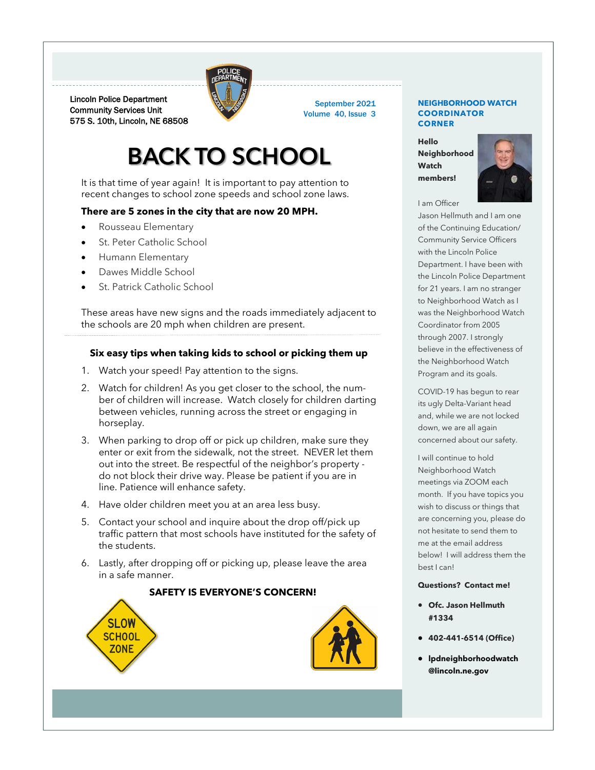

Lincoln Police Department Community Services Unit 575 S. 10th, Lincoln, NE 68508

## **BACK TO SCHOOL**

It is that time of year again! It is important to pay attention to recent changes to school zone speeds and school zone laws.

### **There are 5 zones in the city that are now 20 MPH.**

- Rousseau Elementary
- St. Peter Catholic School
- Humann Elementary
- Dawes Middle School
- St. Patrick Catholic School

These areas have new signs and the roads immediately adjacent to the schools are 20 mph when children are present.

### **Six easy tips when taking kids to school or picking them up**

- 1. Watch your speed! Pay attention to the signs.
- 2. Watch for children! As you get closer to the school, the number of children will increase. Watch closely for children darting between vehicles, running across the street or engaging in horseplay.
- 3. When parking to drop off or pick up children, make sure they enter or exit from the sidewalk, not the street. NEVER let them out into the street. Be respectful of the neighbor's property do not block their drive way. Please be patient if you are in line. Patience will enhance safety.
- 4. Have older children meet you at an area less busy.
- 5. Contact your school and inquire about the drop off/pick up traffic pattern that most schools have instituted for the safety of the students.
- 6. Lastly, after dropping off or picking up, please leave the area in a safe manner.

### **SAFETY IS EVERYONE'S CONCERN!**





September 2021 Volume 40, Issue 3

#### **NEIGHBORHOOD WATCH COORDINATOR CORNER**

**Hello Neighborhood Watch members!**



### I am Officer

Jason Hellmuth and I am one of the Continuing Education/ Community Service Officers with the Lincoln Police Department. I have been with the Lincoln Police Department for 21 years. I am no stranger to Neighborhood Watch as I was the Neighborhood Watch Coordinator from 2005 through 2007. I strongly believe in the effectiveness of the Neighborhood Watch Program and its goals.

COVID-19 has begun to rear its ugly Delta-Variant head and, while we are not locked down, we are all again concerned about our safety.

I will continue to hold Neighborhood Watch meetings via ZOOM each month. If you have topics you wish to discuss or things that are concerning you, please do not hesitate to send them to me at the email address below! I will address them the best I can!

### **Questions? Contact me!**

- **Ofc. Jason Hellmuth #1334**
- **402-441-6514 (Office)**
- **[lpdneighborhoodwatch](mailto:lpdneighborhoodwatch@lincoln.ne.gov) [@lincoln.ne.gov](mailto:lpdneighborhoodwatch@lincoln.ne.gov)**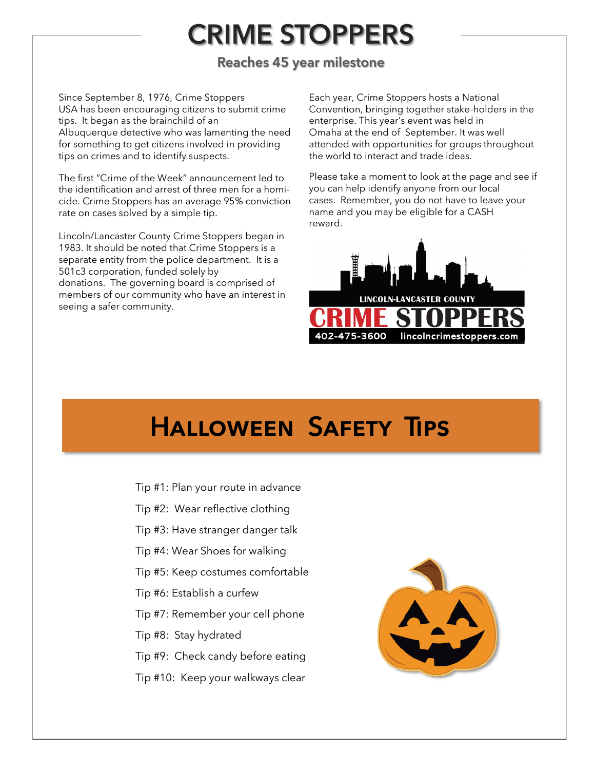# **CRIME STOPPERS**

## **Reaches 45 year milestone**

Since September 8, 1976, Crime Stoppers USA has been encouraging citizens to submit crime tips. It began as the brainchild of an Albuquerque detective who was lamenting the need for something to get citizens involved in providing tips on crimes and to identify suspects.

The first "Crime of the Week" announcement led to the identification and arrest of three men for a homicide. Crime Stoppers has an average 95% conviction rate on cases solved by a simple tip.

Lincoln/Lancaster County Crime Stoppers began in 1983. It should be noted that Crime Stoppers is a separate entity from the police department. It is a 501c3 corporation, funded solely by donations. The governing board is comprised of members of our community who have an interest in seeing a safer community.

Each year, Crime Stoppers hosts a National Convention, bringing together stake-holders in the enterprise. This year's event was held in Omaha at the end of September. It was well attended with opportunities for groups throughout the world to interact and trade ideas.

Please take a moment to look at the page and see if you can help identify anyone from our local cases. Remember, you do not have to leave your name and you may be eligible for a CASH reward.



# **Halloween Safety Tips**

Tip #1: Plan your route in advance Tip #2: Wear reflective clothing Tip #3: Have stranger danger talk Tip #4: Wear Shoes for walking Tip #5: Keep costumes comfortable Tip #6: Establish a curfew Tip #7: Remember your cell phone Tip #8: Stay hydrated Tip #9: Check candy before eating Tip #10: Keep your walkways clear